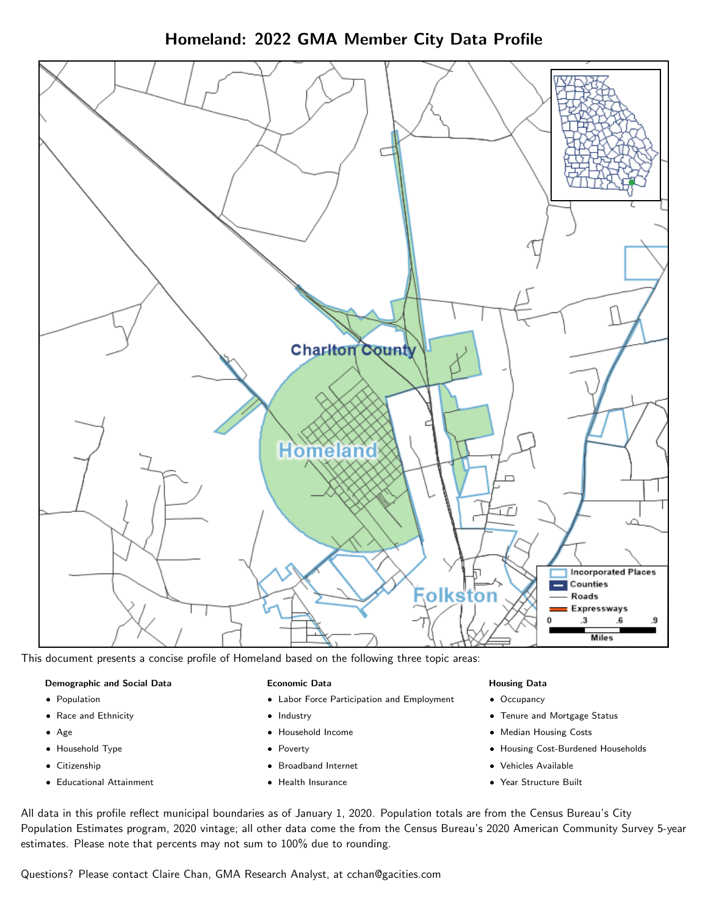Homeland: 2022 GMA Member City Data Profile



This document presents a concise profile of Homeland based on the following three topic areas:

#### Demographic and Social Data

- **•** Population
- Race and Ethnicity
- Age
- Household Type
- **Citizenship**
- Educational Attainment

#### Economic Data

- Labor Force Participation and Employment
- Industry
- Household Income
- Poverty
- Broadband Internet
- Health Insurance

#### Housing Data

- Occupancy
- Tenure and Mortgage Status
- Median Housing Costs
- Housing Cost-Burdened Households
- Vehicles Available
- Year Structure Built

All data in this profile reflect municipal boundaries as of January 1, 2020. Population totals are from the Census Bureau's City Population Estimates program, 2020 vintage; all other data come the from the Census Bureau's 2020 American Community Survey 5-year estimates. Please note that percents may not sum to 100% due to rounding.

Questions? Please contact Claire Chan, GMA Research Analyst, at [cchan@gacities.com.](mailto:cchan@gacities.com)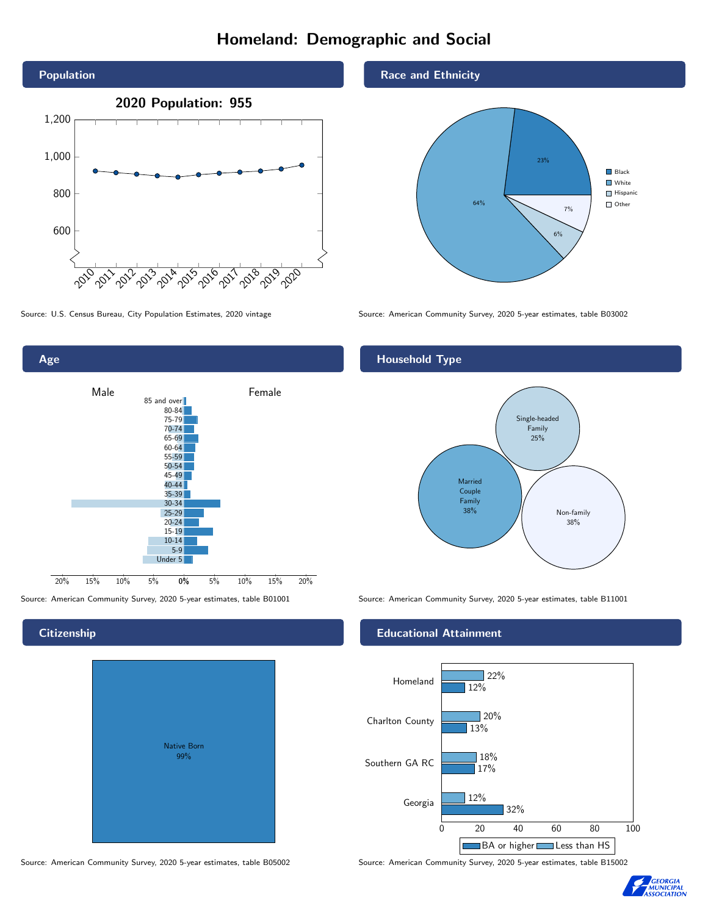# Homeland: Demographic and Social



Age 0% 5% 10% 15% 20% Male **Female** 20% 15% 10% 5% 85 and over 80-84 75-79 70-74 65-69 60-64 55-59 50-54 45-49 40-44 35-39 30-34 25-29 20-24 15-19  $10-14$ 5-9 Under 5

# Native Born 99%

### Race and Ethnicity



Source: U.S. Census Bureau, City Population Estimates, 2020 vintage Source: American Community Survey, 2020 5-year estimates, table B03002

## Household Type



Source: American Community Survey, 2020 5-year estimates, table B01001 Source: American Community Survey, 2020 5-year estimates, table B11001

#### Educational Attainment



Source: American Community Survey, 2020 5-year estimates, table B05002 Source: American Community Survey, 2020 5-year estimates, table B15002



#### **Citizenship**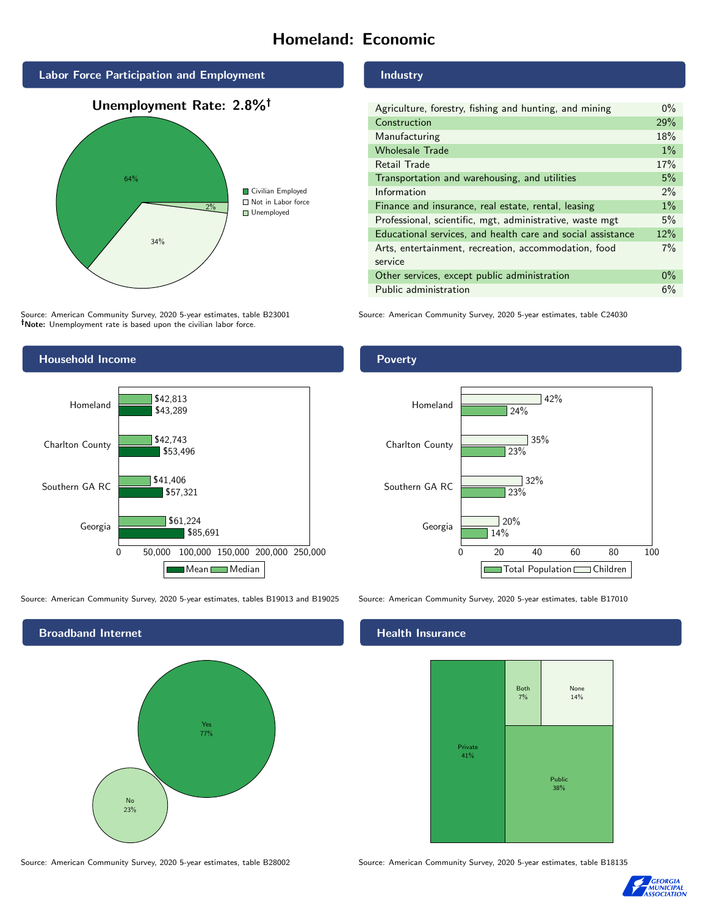# Homeland: Economic



Source: American Community Survey, 2020 5-year estimates, table B23001 Note: Unemployment rate is based upon the civilian labor force.



Source: American Community Survey, 2020 5-year estimates, tables B19013 and B19025 Source: American Community Survey, 2020 5-year estimates, table B17010



#### Industry

| Agriculture, forestry, fishing and hunting, and mining      | $0\%$ |
|-------------------------------------------------------------|-------|
| Construction                                                | 29%   |
| Manufacturing                                               | 18%   |
| <b>Wholesale Trade</b>                                      | $1\%$ |
| Retail Trade                                                | 17%   |
| Transportation and warehousing, and utilities               | 5%    |
| Information                                                 | $2\%$ |
| Finance and insurance, real estate, rental, leasing         | $1\%$ |
| Professional, scientific, mgt, administrative, waste mgt    | 5%    |
| Educational services, and health care and social assistance | 12%   |
| Arts, entertainment, recreation, accommodation, food        | $7\%$ |
| service                                                     |       |
| Other services, except public administration                | $0\%$ |
| Public administration                                       | 6%    |

Source: American Community Survey, 2020 5-year estimates, table C24030

#### Poverty



#### Health Insurance



Source: American Community Survey, 2020 5-year estimates, table B28002 Source: American Community Survey, 2020 5-year estimates, table B18135